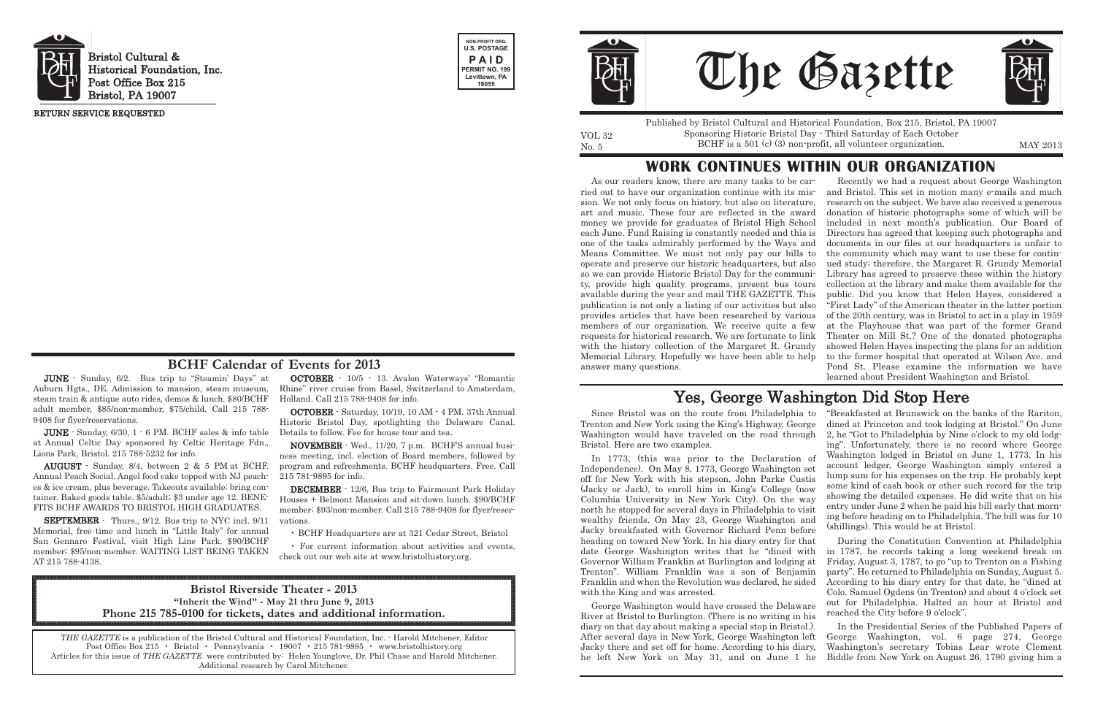JUNE - Sunday, 6/2. Bus trip to "Steamin' Days" at Auburn Hgts., DE. Admission to mansion, steam museum, steam train & antique auto rides, demos & lunch. \$80/BCHF adult member, \$85/non-member, \$75/child. Call 215 788- 9408 for flyer/reservations.

JUNE - Sunday, 6/30, 1 - 6 PM. BCHF sales & info table at Annual Celtic Day sponsored by Celtic Heritage Fdn., Lions Park, Bristol. 215 788-5232 for info.

AUGUST - Sunday, 8/4, between 2 & 5 PM at BCHF. Annual Peach Social. Angel food cake topped with NJ peaches & ice cream, plus beverage. Takeouts available; bring container. Baked goods table. \$5/adult; \$3 under age 12. BENE-FITS BCHF AWARDS TO BRISTOL HIGH GRADUATES.

SEPTEMBER - Thurs., 9/12. Bus trip to NYC incl. 9/11 Memorial, free time and lunch in "Little Italy" for annual San Gennaro Festival, visit High Line Park. \$90/BCHF member; \$95/non-member. WAITING LIST BEING TAKEN AT 215 788-4138.

OCTOBER - 10/5 - 13. Avalon Waterways' "Romantic Rhine" river cruise from Basel, Switzerland to Amsterdam, Holland. Call 215 788-9408 for info.

No. 5 BCHF is a 501 (c) (3) non-profit, all volunteer organization. MAY 2013 Published by Bristol Cultural and Historical Foundation, Box 215, Bristol, PA 19007 Sponsoring Historic Bristol Day - Third Saturday of Each October

OCTOBER - Saturday, 10/19, 10 AM - 4 PM. 37th Annual Historic Bristol Day, spotlighting the Delaware Canal. Details to follow. Fee for house tour and tea.

NOVEMBER - Wed., 11/20, 7 p.m. BCHF'S annual business meeting, incl. election of Board members, followed by program and refreshments. BCHF headquarters. Free. Call 215 781-9895 for info.

DECEMBER - 12/6, Bus trip to Fairmount Park Holiday Houses + Belmont Mansion and sit-down lunch. \$90/BCHF member; \$93/non-member. Call 215 788-9408 for flyer/reservations.

• BCHF Headquarters are at 321 Cedar Street, Bristol

• For current information about activities and events, check out our web site at www.bristolhistory.org.



Bristol Cultural & Historical Foundation, Inc. Post Office Box 215 Bristol, PA 19007





VOL 32

RETURN SERVICE REQUESTED

THE GAZETTE is a publication of the Bristol Cultural and Historical Foundation, Inc. - Harold Mitchener, Editor Post Office Box 215 • Bristol • Pennsylvania • 19007 • 215 781-9895 • www.bristolhistory.org Articles for this issue of THE GAZETTE were contributed by: Helen Younglove, Dr. Phil Chase and Harold Mitchener. Additional research by Carol Mitchener.





#### **BCHF Calendar of Events for 2013**

Jacky breakfasted with Governor Richard Penn before heading on toward New York. In his diary entry for that date George Washington writes that he "dined with Governor William Franklin at Burlington and lodging at Trenton". William Franklin was a son of Benjamin Franklin and when the Revolution was declared, he sided with the King and was arrested.

As our readers know, there are many tasks to be carried out to have our organization continue with its mission. We not only focus on history, but also on literature, art and music. These four are reflected in the award money we provide for graduates of Bristol High School each June. Fund Raising is constantly needed and this is one of the tasks admirably performed by the Ways and Means Committee. We must not only pay our bills to operate and preserve our historic headquarters, but also so we can provide Historic Bristol Day for the community, provide high quality programs, present bus tours available during the year and mail THE GAZETTE. This publication is not only a listing of our activities but also provides articles that have been researched by various members of our organization. We receive quite a few requests for historical research. We are fortunate to link with the history collection of the Margaret R. Grundy Memorial Library. Hopefully we have been able to help answer many questions. Recently we had a request about George Washington and Bristol. This set in motion many e-mails and much research on the subject. We have also received a generous donation of historic photographs some of which will be included in next month's publication. Our Board of Directors has agreed that keeping such photographs and documents in our files at our headquarters is unfair to the community which may want to use these for continued study; therefore, the Margaret R. Grundy Memorial Library has agreed to preserve these within the history collection at the library and make them available for the public. Did you know that Helen Hayes, considered a "First Lady" of the American theater in the latter portion of the 20th century, was in Bristol to act in a play in 1959 at the Playhouse that was part of the former Grand Theater on Mill St.? One of the donated photographs showed Helen Hayes inspecting the plans for an addition to the former hospital that operated at Wilson Ave. and Pond St. Please examine the information we have learned about President Washington and Bristol.

Since Bristol was on the route from Philadelphia to Trenton and New York using the King's Highway, George Washington would have traveled on the road through Bristol. Here are two examples. In 1773, (this was prior to the Declaration of Independence). On May 8, 1773, George Washington set off for New York with his stepson, John Parke Custis (Jacky or Jack), to enroll him in King's College (now Columbia University in New York City). On the way north he stopped for several days in Philadelphia to visit wealthy friends. On May 23, George Washington and "Breakfasted at Brunswick on the banks of the Rariton, dined at Princeton and took lodging at Bristol." On June 2, he "Got to Philadelphia by Nine o'clock to my old lodging". Unfortunately, there is no record where George Washington lodged in Bristol on June 1, 1773. In his account ledger, George Washington simply entered a lump sum for his expenses on the trip. He probably kept some kind of cash book or other such record for the trip showing the detailed expenses. He did write that on his entry under June 2 when he paid his bill early that morning before heading on to Philadelphia. The bill was for 10 (shillings). This would be at Bristol.

George Washington would have crossed the Delaware River at Bristol to Burlington. (There is no writing in his diary on that day about making a special stop in Bristol.). After several days in New York, George Washington left Jacky there and set off for home. According to his diary, he left New York on May 31, and on June 1 he reached the City before 9 o'clock". In the Presidential Series of the Published Papers of George Washington, vol. 6 page 274, George Washington's secretary Tobias Lear wrote Clement Biddle from New York on August 26, 1790 giving him a

During the Constitution Convention at Philadelphia in 1787, he records taking a long weekend break on Friday, August 3, 1787, to go "up to Trenton on a Fishing party". He returned to Philadelphia on Sunday, August 5. According to his diary entry for that date, he "dined at Colo. Samuel Ogdens (in Trenton) and about 4 o'clock set out for Philadelphia. Halted an hour at Bristol and

### **WORK CONTINUES WITHIN OUR ORGANIZATION**

# Yes, George Washington Did Stop Here

#### **Bristol Riverside Theater - 2013 "Inherit the Wind" - May 21 thru June 9, 2013 Phone 215 785-0100 for tickets, dates and additional information.**